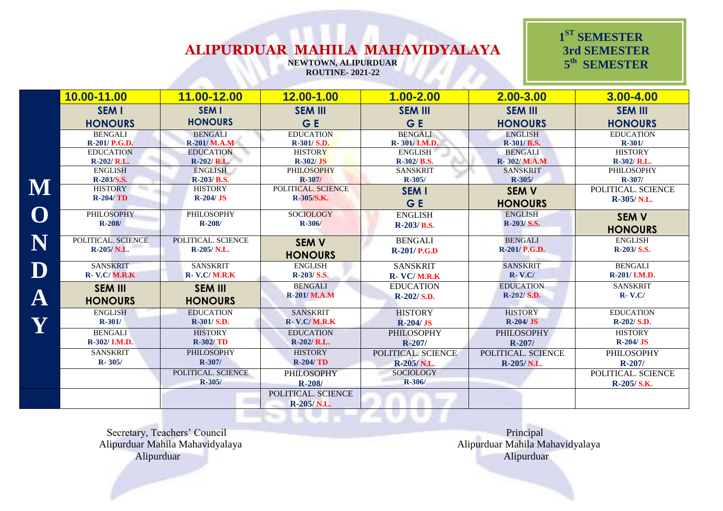**NEWTOWN, ALIPURDUAR ROUTINE- 2021-22**

 **1 ST SEMESTER 3rd SEMESTER 5 th SEMESTER** 

|           | 10.00-11.00          | 11.00-12.00          | 12.00-1.00           | $1.00 - 2.00$      | $2.00 - 3.00$      | 3.00-4.00          |
|-----------|----------------------|----------------------|----------------------|--------------------|--------------------|--------------------|
|           | <b>SEM I</b>         | <b>SEM I</b>         | <b>SEM III</b>       | <b>SEM III</b>     | <b>SEM III</b>     | <b>SEM III</b>     |
|           | <b>HONOURS</b>       | <b>HONOURS</b>       | G E                  | G E                | <b>HONOURS</b>     | <b>HONOURS</b>     |
|           | <b>BENGALI</b>       | <b>BENGALI</b>       | <b>EDUCATION</b>     | <b>BENGALI</b>     | <b>ENGLISH</b>     | <b>EDUCATION</b>   |
|           | R-201/ P.G.D.        | <b>R-201/ M.A.M</b>  | R-301/ S.D.          | R-301/I.M.D.       | R-301/ B.S.        | $R - 301/$         |
|           | <b>EDUCATION</b>     | <b>EDUCATION</b>     | <b>HISTORY</b>       | <b>ENGLISH</b>     | <b>BENGALI</b>     | <b>HISTORY</b>     |
|           | $R-202/R.L.$         | R-202/ R.L.          | $R-302/JS$           | R-302/ B.S.        | R-302/M.A.M        | R-302/ R.L.        |
|           | <b>ENGLISH</b>       | ENGLISH              | <b>PHILOSOPHY</b>    | <b>SANSKRIT</b>    | <b>SANSKRIT</b>    | PHILOSOPHY         |
|           | R-203/S.S.           | R-203/ B.S.          | $R - 307/$           | $R - 305/$         | R-305/             | $R - 307/$         |
|           | <b>HISTORY</b>       | <b>HISTORY</b>       | POLITICAL. SCIENCE   | <b>SEM I</b>       | <b>SEM V</b>       | POLITICAL. SCIENCE |
|           | $R-204/TD$           | $R-204/JS$           | R-305/S.K.           | GE                 | <b>HONOURS</b>     | R-305/N.L.         |
|           | <b>PHILOSOPHY</b>    | <b>PHILOSOPHY</b>    | <b>SOCIOLOGY</b>     | <b>ENGLISH</b>     | <b>ENGLISH</b>     | <b>SEM V</b>       |
|           | $R-208/$             | $R - 208/$           | $R - 306/$           | R-203/B.S.         | R-203/ S.S.        |                    |
|           |                      |                      |                      |                    |                    | <b>HONOURS</b>     |
| N         | POLITICAL. SCIENCE   | POLITICAL. SCIENCE   | <b>SEM V</b>         | <b>BENGALI</b>     | <b>BENGALI</b>     | <b>ENGLISH</b>     |
|           | R-205/N.L.           | R-205/N.L.           | <b>HONOURS</b>       | $R-201/P.G.D$      | R-201/ P.G.D.      | R-203/ S.S.        |
| ${\bf D}$ | <b>SANSKRIT</b>      | <b>SANSKRIT</b>      | <b>ENGLISH</b>       | <b>SANSKRIT</b>    | <b>SANSKRIT</b>    | <b>BENGALI</b>     |
|           | <b>R- V.C/ M.R.K</b> | <b>R- V.C/ M.R.K</b> | R-203/ S.S.          | <b>R- VC/M.R.K</b> | $R-V.C/$           | R-201/ I.M.D.      |
|           | <b>SEM III</b>       | <b>SEM III</b>       | <b>BENGALI</b>       | <b>EDUCATION</b>   | <b>EDUCATION</b>   | <b>SANSKRIT</b>    |
| $\bf A$   |                      |                      | R-201/ M.A.M         | R-202/S.D.         | $R-202/S.D.$       | $R-V.C/$           |
|           | <b>HONOURS</b>       | <b>HONOURS</b>       |                      |                    |                    |                    |
|           | <b>ENGLISH</b>       | <b>EDUCATION</b>     | <b>SANSKRIT</b>      | <b>HISTORY</b>     | <b>HISTORY</b>     | <b>EDUCATION</b>   |
| Y         | $R - 301/$           | R-301/ S.D.          | <b>R- V.C/ M.R.K</b> | $R-204/JS$         | $R-204/JS$         | R-202/ S.D.        |
|           | <b>BENGALI</b>       | <b>HISTORY</b>       | <b>EDUCATION</b>     | <b>PHILOSOPHY</b>  | <b>PHILOSOPHY</b>  | <b>HISTORY</b>     |
|           | R-302/I.M.D.         | $R-302/TD$           | $R-202/R.L.$         | $R - 207/$         | $R - 207/$         | $R-204/JS$         |
|           | <b>SANSKRIT</b>      | <b>PHILOSOPHY</b>    | <b>HISTORY</b>       | POLITICAL. SCIENCE | POLITICAL. SCIENCE | PHILOSOPHY         |
|           | $R - 305/$           | R-307/               | <b>R-204/TD</b>      | R-205/N.L.         | R-205/N.L.         | $R-207/$           |
|           |                      | POLITICAL. SCIENCE   | <b>PHILOSOPHY</b>    | <b>SOCIOLOGY</b>   |                    | POLITICAL. SCIENCE |
|           |                      | R-305/               | $R - 208/$           | $R - 306/$         |                    | R-205/S.K.         |
|           |                      |                      | POLITICAL. SCIENCE   |                    |                    |                    |
|           |                      |                      | R-205/N.L.           |                    |                    |                    |

Secretary, Teachers' Council **Principal** Principal Alipurduar Mahila Mahavidyalaya Alipurduar Mahila Mahavidyalaya Alipurduar Alipurduar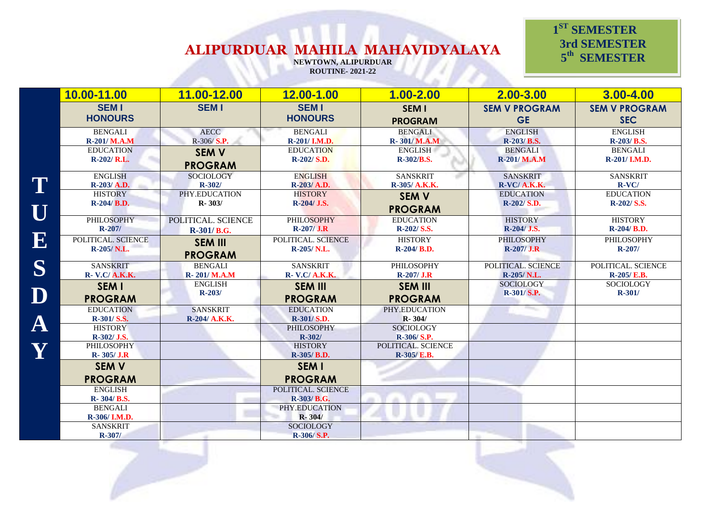**NEWTOWN, ALIPURDUAR ROUTINE- 2021-22**

 **1 ST SEMESTER 3rd SEMESTER 5 th SEMESTER** 

**ST SEMESTER** 

|                         | 10.00-11.00                    | 11.00-12.00        | 12.00-1.00                    | $1.00 - 2.00$                  | $2.00 - 3.00$                     | 3.00-4.00                          |
|-------------------------|--------------------------------|--------------------|-------------------------------|--------------------------------|-----------------------------------|------------------------------------|
|                         | <b>SEM I</b><br><b>HONOURS</b> | <b>SEMI</b>        | <b>SEMI</b><br><b>HONOURS</b> | <b>SEM I</b><br><b>PROGRAM</b> | <b>SEM V PROGRAM</b><br><b>GE</b> | <b>SEM V PROGRAM</b><br><b>SEC</b> |
|                         | <b>BENGALI</b>                 | <b>AECC</b>        | <b>BENGALI</b>                | <b>BENGALI</b>                 | <b>ENGLISH</b>                    | <b>ENGLISH</b>                     |
|                         | R-201/ M.A.M                   | $R-306/ S.P.$      | R-201/ I.M.D.                 | R-301/M.A.M                    | R-203/B.S.                        | R-203/ B.S.                        |
|                         | <b>EDUCATION</b>               | <b>SEM V</b>       | <b>EDUCATION</b>              | <b>ENGLISH</b>                 | <b>BENGALI</b>                    | <b>BENGALI</b>                     |
|                         | R-202/ R.L.                    | <b>PROGRAM</b>     | R-202/ S.D.                   | R-302/B.S.                     | R-201/ M.A.M                      | R-201/I.M.D.                       |
|                         | <b>ENGLISH</b>                 | <b>SOCIOLOGY</b>   | <b>ENGLISH</b>                | <b>SANSKRIT</b>                | <b>SANSKRIT</b>                   | <b>SANSKRIT</b>                    |
| T                       | $R-203/A.D.$                   | $R - 302/$         | R-203/ A.D.                   | R-305/ A.K.K.                  | $R-VC/A.K.K.$                     | $R-VC/$                            |
|                         | <b>HISTORY</b>                 | PHY.EDUCATION      | <b>HISTORY</b>                | <b>SEM V</b>                   | <b>EDUCATION</b>                  | <b>EDUCATION</b>                   |
| $\overline{\textbf{U}}$ | $R-204/ B.D.$                  | $R - 303/$         | $R-204/$ J.S.                 | <b>PROGRAM</b>                 | R-202/ S.D.                       | R-202/ S.S.                        |
|                         | PHILOSOPHY                     | POLITICAL. SCIENCE | <b>PHILOSOPHY</b>             | <b>EDUCATION</b>               | <b>HISTORY</b>                    | <b>HISTORY</b>                     |
|                         | $R - 207/$                     | R-301/B.G.         | $R-207/J.R$                   | R-202/ S.S.                    | R-204/ J.S.                       | R-204/ B.D.                        |
| $\mathbf{E}_1$          | POLITICAL. SCIENCE             | <b>SEM III</b>     | POLITICAL. SCIENCE            | <b>HISTORY</b>                 | <b>PHILOSOPHY</b>                 | <b>PHILOSOPHY</b>                  |
|                         | R-205/N.L.                     | <b>PROGRAM</b>     | R-205/N.L.                    | R-204/ B.D.                    | $R-207/J.R$                       | $R - 207/$                         |
| S                       | <b>SANSKRIT</b>                | <b>BENGALI</b>     | <b>SANSKRIT</b>               | PHILOSOPHY                     | POLITICAL. SCIENCE                | POLITICAL. SCIENCE                 |
|                         | <b>R- V.C/ A.K.K.</b>          | <b>R-201/M.A.M</b> | <b>R- V.C/ A.K.K.</b>         | $R-207/J.R$                    | R-205/N.L.                        | $R-205/E.B.$                       |
|                         | <b>SEM I</b>                   | <b>ENGLISH</b>     | <b>SEM III</b>                | <b>SEM III</b>                 | <b>SOCIOLOGY</b>                  | <b>SOCIOLOGY</b>                   |
| $\mathbf D$             | <b>PROGRAM</b>                 | $R - 203/$         | <b>PROGRAM</b>                | <b>PROGRAM</b>                 | $R-301/S.P.$                      | $R - 301/$                         |
|                         | <b>EDUCATION</b>               | <b>SANSKRIT</b>    | <b>EDUCATION</b>              | PHY.EDUCATION                  |                                   |                                    |
| ${\bf A}$               | R-301/S.S.                     | R-204/ A.K.K.      | R-301/S.D.                    | $R - 304/$                     |                                   |                                    |
|                         | <b>HISTORY</b>                 |                    | <b>PHILOSOPHY</b>             | <b>SOCIOLOGY</b>               |                                   |                                    |
|                         | R-302/ J.S.                    |                    | $R - 302/$                    | R-306/S.P.                     |                                   |                                    |
| Y                       | <b>PHILOSOPHY</b>              |                    | <b>HISTORY</b>                | POLITICAL. SCIENCE             |                                   |                                    |
|                         | $R - 305 / J.R$                |                    | R-305/B.D.                    | R-305/ E.B.                    |                                   |                                    |
|                         | <b>SEM V</b>                   |                    | <b>SEM I</b>                  |                                |                                   |                                    |
|                         | <b>PROGRAM</b>                 |                    | <b>PROGRAM</b>                |                                |                                   |                                    |
|                         | <b>ENGLISH</b>                 |                    | POLITICAL. SCIENCE            |                                |                                   |                                    |
|                         | R-304/B.S.                     |                    | R-303/ B.G.                   |                                |                                   |                                    |
|                         | <b>BENGALI</b>                 |                    | PHY.EDUCATION                 |                                |                                   |                                    |
|                         | R-306/I.M.D.                   |                    | $R - 304/$                    |                                |                                   |                                    |
|                         | <b>SANSKRIT</b>                |                    | <b>SOCIOLOGY</b>              |                                |                                   |                                    |
|                         | $R - 307/$                     |                    | R-306/S.P.                    |                                |                                   |                                    |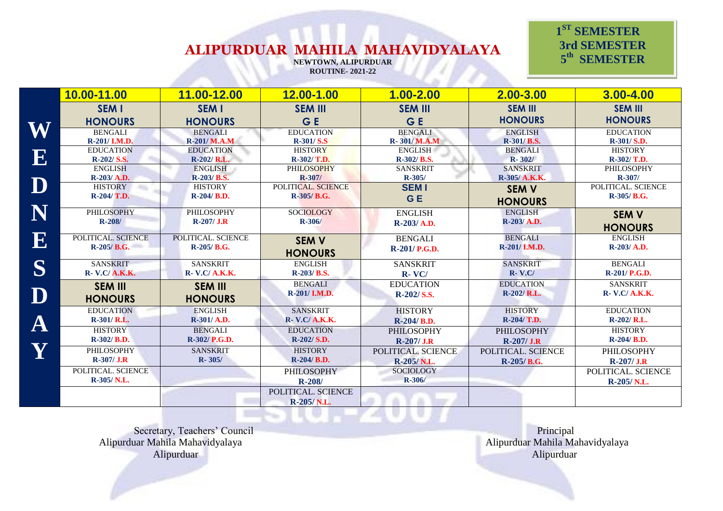**NEWTOWN, ALIPURDUAR ROUTINE- 2021-22**

 **1 ST SEMESTER 3rd SEMESTER 5 th SEMESTER** 

|                         | 10.00-11.00           | 11.00-12.00            | 12.00-1.00            | $1.00 - 2.00$      | 2.00-3.00          | 3.00-4.00             |
|-------------------------|-----------------------|------------------------|-----------------------|--------------------|--------------------|-----------------------|
|                         | <b>SEM I</b>          | <b>SEM I</b>           | <b>SEM III</b>        | <b>SEM III</b>     | <b>SEM III</b>     | <b>SEM III</b>        |
|                         | <b>HONOURS</b>        | <b>HONOURS</b>         | <b>GE</b>             | G E                | <b>HONOURS</b>     | <b>HONOURS</b>        |
| W                       | <b>BENGALI</b>        | <b>BENGALI</b>         | <b>EDUCATION</b>      | <b>BENGALI</b>     | <b>ENGLISH</b>     | <b>EDUCATION</b>      |
|                         | R-201/ I.M.D.         | <b>R-201/ M.A.M</b>    | $R-301/S.S$           | R-301/M.A.M        | R-301/ B.S.        | R-301/ S.D.           |
|                         | <b>EDUCATION</b>      | <b>EDUCATION</b>       | <b>HISTORY</b>        | <b>ENGLISH</b>     | <b>BENGALI</b>     | <b>HISTORY</b>        |
| $\mathbf E$             | R-202/ S.S.           | $R-202/R.L.$           | R-302/ T.D.           | R-302/ B.S.        | $R - 302/$         | R-302/ T.D.           |
|                         | <b>ENGLISH</b>        | <b>ENGLISH</b>         | <b>PHILOSOPHY</b>     | <b>SANSKRIT</b>    | <b>SANSKRIT</b>    | PHILOSOPHY            |
|                         | $R-203/ A.D.$         | R-203/B.S.             | $R - 307/$            | $R - 305/$         | R-305/ A.K.K.      | $R - 307/$            |
| $\overline{\mathbf{D}}$ | <b>HISTORY</b>        | <b>HISTORY</b>         | POLITICAL. SCIENCE    | <b>SEMI</b>        | <b>SEM V</b>       | POLITICAL. SCIENCE    |
|                         | $R-204/T.D.$          | $R-204/ B.D.$          | $R-305/ B.G.$         | <b>GE</b>          | <b>HONOURS</b>     | $R-305/B.G.$          |
| N                       | <b>PHILOSOPHY</b>     | PHILOSOPHY             | <b>SOCIOLOGY</b>      | <b>ENGLISH</b>     | <b>ENGLISH</b>     | <b>SEM V</b>          |
|                         | $R-208/$              | $R-207/J.R$            | $R - 306/$            | $R-203/A.D.$       | R-203/ A.D.        |                       |
|                         |                       |                        |                       |                    |                    | <b>HONOURS</b>        |
| 13                      | POLITICAL. SCIENCE    | POLITICAL. SCIENCE     | <b>SEM V</b>          | <b>BENGALI</b>     | <b>BENGALI</b>     | <b>ENGLISH</b>        |
|                         | $R-205/ B.G.$         | R-205/B.G.             | <b>HONOURS</b>        | R-201/ P.G.D.      | R-201/ I.M.D.      | R-203/A.D.            |
| S                       | <b>SANSKRIT</b>       | <b>SANSKRIT</b>        | <b>ENGLISH</b>        | <b>SANSKRIT</b>    | <b>SANSKRIT</b>    | <b>BENGALI</b>        |
|                         | <b>R- V.C/ A.K.K.</b> | <b>R</b> - V.C/ A.K.K. | R-203/ B.S.           | $R-VC/$            | $R-V.C/$           | R-201/ P.G.D.         |
|                         | <b>SEM III</b>        | <b>SEM III</b>         | <b>BENGALI</b>        | <b>EDUCATION</b>   | <b>EDUCATION</b>   | <b>SANSKRIT</b>       |
|                         |                       |                        | R-201/I.M.D.          | R-202/S.S.         | $R-202/R.L.$       | <b>R- V.C/ A.K.K.</b> |
|                         | <b>HONOURS</b>        | <b>HONOURS</b>         |                       |                    |                    |                       |
|                         | <b>EDUCATION</b>      | <b>ENGLISH</b>         | <b>SANSKRIT</b>       | <b>HISTORY</b>     | <b>HISTORY</b>     | <b>EDUCATION</b>      |
| ${\bf A}$               | $R-301/R.L.$          | R-301/ A.D.            | <b>R- V.C/ A.K.K.</b> | R-204/B.D.         | R-204/ T.D.        | R-202/ R.L.           |
|                         | <b>HISTORY</b>        | <b>BENGALI</b>         | <b>EDUCATION</b>      | <b>PHILOSOPHY</b>  | <b>PHILOSOPHY</b>  | <b>HISTORY</b>        |
|                         | R-302/ B.D.           | R-302/ P.G.D.          | $R-202/S.D.$          | $R-207/J.R$        | $R-207/J.R$        | R-204/ B.D.           |
| Y                       | PHILOSOPHY            | <b>SANSKRIT</b>        | <b>HISTORY</b>        | POLITICAL. SCIENCE | POLITICAL. SCIENCE | <b>PHILOSOPHY</b>     |
|                         | $R-307/ J.R$          | $R - 305/$             | $R-204/ B.D.$         | R-205/N.L.         | $R-205/B.G.$       | $R-207/J.R$           |
|                         | POLITICAL. SCIENCE    |                        | <b>PHILOSOPHY</b>     | <b>SOCIOLOGY</b>   |                    | POLITICAL. SCIENCE    |
|                         | R-305/N.L.            |                        | $R - 208/$            | $R - 306/$         |                    | R-205/N.L.            |
|                         |                       |                        | POLITICAL. SCIENCE    |                    |                    |                       |
|                         |                       |                        | R-205/N.L.            |                    |                    |                       |

9 A F

**12.5%** 

Secretary, Teachers' Council Principal Alipurduar Mahila Mahavidyalaya Alipurduar Mahila Mahavidyalaya Alipurduar Alipurduar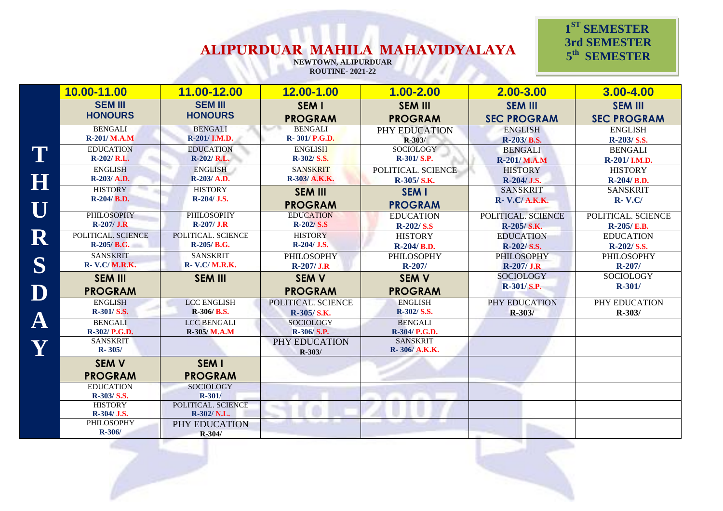**NEWTOWN, ALIPURDUAR ROUTINE- 2021-22**

 **1 ST SEMESTER 3rd SEMESTER 5 th SEMESTER** 

|                         | 10.00-11.00                                        | 11.00-12.00                                          | 12.00-1.00                     | $1.00 - 2.00$                                      | 2.00-3.00                      | 3.00-4.00                      |
|-------------------------|----------------------------------------------------|------------------------------------------------------|--------------------------------|----------------------------------------------------|--------------------------------|--------------------------------|
|                         | <b>SEM III</b>                                     | <b>SEM III</b>                                       | <b>SEM I</b>                   | <b>SEM III</b>                                     | <b>SEM III</b>                 | <b>SEM III</b>                 |
|                         | <b>HONOURS</b>                                     | <b>HONOURS</b>                                       | <b>PROGRAM</b>                 | <b>PROGRAM</b>                                     | <b>SEC PROGRAM</b>             | <b>SEC PROGRAM</b>             |
|                         | <b>BENGALI</b>                                     | <b>BENGALI</b>                                       | <b>BENGALI</b>                 | PHY EDUCATION                                      | <b>ENGLISH</b>                 | <b>ENGLISH</b>                 |
|                         | R-201/M.A.M                                        | R-201/ I.M.D.                                        | R-301/P.G.D.                   | $R - 303/$                                         | R-203/B.S.                     | R-203/ S.S.                    |
|                         | <b>EDUCATION</b>                                   | <b>EDUCATION</b>                                     | <b>ENGLISH</b>                 | SOCIOLOGY                                          | <b>BENGALI</b>                 | <b>BENGALI</b>                 |
|                         | $R-202/R.L.$                                       | $R-202/R.L.$                                         | R-302/S.S.                     | $R-301/S.P.$                                       | <b>R-201/M.A.M</b>             | R-201/I.M.D.                   |
| H                       | <b>ENGLISH</b>                                     | <b>ENGLISH</b>                                       | <b>SANSKRIT</b>                | POLITICAL. SCIENCE                                 | <b>HISTORY</b>                 | <b>HISTORY</b>                 |
|                         | R-203/ A.D.                                        | R-203/A.D.                                           | R-303/ A.K.K.                  | R-305/S.K.                                         | R-204/ J.S.                    | R-204/B.D.                     |
| $\overline{\textbf{U}}$ | <b>HISTORY</b>                                     | <b>HISTORY</b>                                       | <b>SEM III</b>                 | <b>SEM I</b>                                       | <b>SANSKRIT</b>                | <b>SANSKRIT</b>                |
|                         | R-204/B.D.                                         | R-204/ J.S.                                          | <b>PROGRAM</b>                 | <b>PROGRAM</b>                                     | <b>R- V.C/ A.K.K.</b>          | $R-V.C/$                       |
|                         | PHILOSOPHY                                         | <b>PHILOSOPHY</b>                                    | <b>EDUCATION</b>               | <b>EDUCATION</b>                                   | POLITICAL. SCIENCE             | POLITICAL. SCIENCE             |
|                         | $R-207/J.R$                                        | $R-207/$ J.R                                         | <b>R-202/S.S</b>               | <b>R-202/S.S</b>                                   | R-205/S.K.                     | R-205/E.B.                     |
| $\mathbf R$             | POLITICAL. SCIENCE                                 | POLITICAL. SCIENCE                                   | <b>HISTORY</b>                 | <b>HISTORY</b>                                     | <b>EDUCATION</b>               | <b>EDUCATION</b>               |
|                         | $R-205/ B.G.$                                      | R-205/B.G.                                           | R-204/ J.S.                    | R-204/B.D.                                         | R-202/S.S.                     | $R-202/S.S.$                   |
| S                       | <b>SANSKRIT</b>                                    | <b>SANSKRIT</b>                                      | <b>PHILOSOPHY</b>              | PHILOSOPHY                                         | <b>PHILOSOPHY</b>              | PHILOSOPHY                     |
|                         | <b>R- V.C/ M.R.K.</b>                              | <b>R- V.C/ M.R.K.</b>                                | $R-207/J.R$                    | $R - 207/$                                         | $R-207/J.R$                    | $R-207/$                       |
| D                       | <b>SEM III</b><br><b>PROGRAM</b>                   | <b>SEM III</b>                                       | <b>SEM V</b><br><b>PROGRAM</b> | <b>SEM V</b><br><b>PROGRAM</b>                     | <b>SOCIOLOGY</b><br>R-301/S.P. | <b>SOCIOLOGY</b><br>$R - 301/$ |
|                         | <b>ENGLISH</b>                                     | <b>LCC ENGLISH</b>                                   | POLITICAL. SCIENCE             | <b>ENGLISH</b>                                     | PHY EDUCATION                  | PHY EDUCATION                  |
|                         | R-301/S.S.                                         | R-306/B.S.                                           | R-305/S.K.                     | R-302/S.S.                                         | $R - 303/$                     | $R - 303/$                     |
| $\bf A$                 | <b>BENGALI</b><br>R-302/ P.G.D.<br><b>SANSKRIT</b> | <b>LCC BENGALI</b><br>R-305/M.A.M                    | <b>SOCIOLOGY</b><br>R-306/S.P. | <b>BENGALI</b><br>R-304/ P.G.D.<br><b>SANSKRIT</b> |                                |                                |
| Y                       | $R - 305/$                                         |                                                      | PHY EDUCATION<br>$R - 303/$    | R-306/A.K.K.                                       |                                |                                |
|                         | <b>SEM V</b><br><b>PROGRAM</b>                     | <b>SEM I</b><br><b>PROGRAM</b>                       |                                |                                                    |                                |                                |
|                         | <b>EDUCATION</b><br>R-303/ S.S.<br><b>HISTORY</b>  | <b>SOCIOLOGY</b><br>$R - 301/$<br>POLITICAL. SCIENCE |                                |                                                    |                                |                                |
|                         | R-304/ J.S.<br><b>PHILOSOPHY</b>                   | R-302/ N.L.<br>PHY EDUCATION                         |                                |                                                    |                                |                                |
|                         | $R - 306/$                                         | R-304/                                               |                                |                                                    |                                |                                |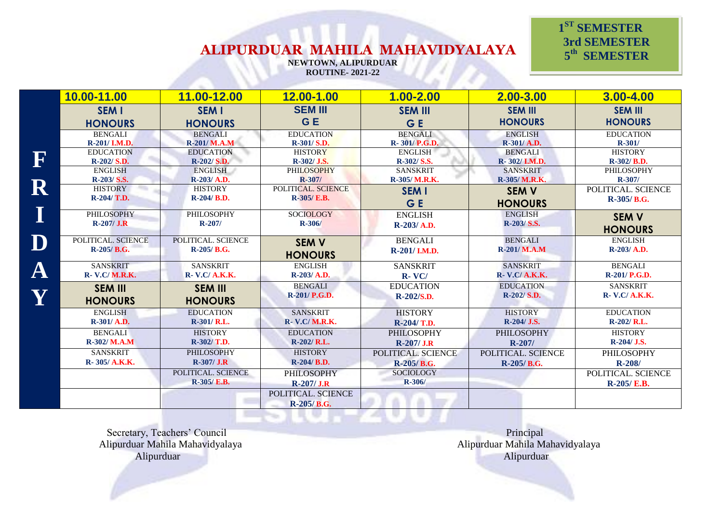**NEWTOWN, ALIPURDUAR ROUTINE- 2021-22**

#### **1 ST SEMESTER 3rd SEMESTER 5 th SEMESTER**

|             | 10.00-11.00        | 11.00-12.00           | 12.00-1.00            | $1.00 - 2.00$      | $2.00 - 3.00$      | $3.00 - 4.00$         |
|-------------|--------------------|-----------------------|-----------------------|--------------------|--------------------|-----------------------|
|             | <b>SEM I</b>       | <b>SEM I</b>          | <b>SEM III</b>        | <b>SEM III</b>     | <b>SEM III</b>     | <b>SEM III</b>        |
|             | <b>HONOURS</b>     | <b>HONOURS</b>        | G E                   | G E                | <b>HONOURS</b>     | <b>HONOURS</b>        |
|             | <b>BENGALI</b>     | <b>BENGALI</b>        | <b>EDUCATION</b>      | <b>BENGALI</b>     | <b>ENGLISH</b>     | <b>EDUCATION</b>      |
|             | R-201/ I.M.D.      | R-201/ M.A.M          | R-301/ S.D.           | R-301/P.G.D.       | R-301/ A.D.        | $R - 301/$            |
|             | <b>EDUCATION</b>   | <b>EDUCATION</b>      | <b>HISTORY</b>        | <b>ENGLISH</b>     | <b>BENGALI</b>     | <b>HISTORY</b>        |
| F           | R-202/ S.D.        | $R-202/S.D.$          | R-302/ J.S.           | R-302/S.S.         | R-302/I.M.D.       | R-302/B.D.            |
|             | <b>ENGLISH</b>     | ENGLISH               | <b>PHILOSOPHY</b>     | <b>SANSKRIT</b>    | <b>SANSKRIT</b>    | PHILOSOPHY            |
|             | R-203/ S.S.        | R-203/ A.D.           | $R - 307/$            | R-305/ M.R.K.      | R-305/ M.R.K.      | $R - 307/$            |
| $\mathbf R$ | <b>HISTORY</b>     | <b>HISTORY</b>        | POLITICAL. SCIENCE    | <b>SEM I</b>       | <b>SEM V</b>       | POLITICAL. SCIENCE    |
|             | $R-204/T.D.$       | $R-204/ B.D.$         | R-305/ E.B.           | G E                | <b>HONOURS</b>     | R-305/B.G.            |
|             | <b>PHILOSOPHY</b>  | PHILOSOPHY            | <b>SOCIOLOGY</b>      | <b>ENGLISH</b>     | <b>ENGLISH</b>     | <b>SEM V</b>          |
|             | $R-207/$ J.R       | $R - 207/$            | $R - 306/$            | $R-203/ A.D.$      | $R-203/S.S.$       |                       |
|             |                    |                       |                       |                    |                    | <b>HONOURS</b>        |
|             | POLITICAL. SCIENCE | POLITICAL. SCIENCE    | <b>SEM V</b>          | <b>BENGALI</b>     | <b>BENGALI</b>     | <b>ENGLISH</b>        |
|             | R-205/B.G.         | $R-205/B.G.$          | <b>HONOURS</b>        | R-201/I.M.D.       | R-201/ M.A.M       | $R-203/A.D.$          |
|             | <b>SANSKRIT</b>    | <b>SANSKRIT</b>       | <b>ENGLISH</b>        | <b>SANSKRIT</b>    | <b>SANSKRIT</b>    | <b>BENGALI</b>        |
| ${\bf A}$   | R- V.C/ M.R.K.     | <b>R- V.C/ A.K.K.</b> | R-203/ A.D.           | $R-VC/$            | R- V.C/ A.K.K.     | R-201/ P.G.D.         |
|             | <b>SEM III</b>     | <b>SEM III</b>        | <b>BENGALI</b>        | <b>EDUCATION</b>   | <b>EDUCATION</b>   | <b>SANSKRIT</b>       |
|             |                    |                       | R-201/ P.G.D.         | R-202/S.D.         | $R-202/S.D.$       | <b>R- V.C/ A.K.K.</b> |
|             | <b>HONOURS</b>     | <b>HONOURS</b>        |                       |                    |                    |                       |
|             | <b>ENGLISH</b>     | <b>EDUCATION</b>      | <b>SANSKRIT</b>       | <b>HISTORY</b>     | <b>HISTORY</b>     | <b>EDUCATION</b>      |
|             | R-301/ A.D.        | R-301/ R.L.           | <b>R- V.C/ M.R.K.</b> | R-204/ T.D.        | $R-204/J.S.$       | $R-202/R.L.$          |
|             | <b>BENGALI</b>     | <b>HISTORY</b>        | <b>EDUCATION</b>      | <b>PHILOSOPHY</b>  | <b>PHILOSOPHY</b>  | <b>HISTORY</b>        |
|             | $R-302/M.A.M$      | R-302/ T.D.           | $R-202/R.L.$          | $R-207/J.R$        | $R-207/$           | R-204/ J.S.           |
|             | <b>SANSKRIT</b>    | <b>PHILOSOPHY</b>     | <b>HISTORY</b>        | POLITICAL. SCIENCE | POLITICAL. SCIENCE | <b>PHILOSOPHY</b>     |
|             | R- 305/ A.K.K.     | $R-307/J.R$           | $R-204/ B.D.$         | R-205/B.G.         | R-205/B.G.         | $R - 208/$            |
|             |                    | POLITICAL. SCIENCE    | <b>PHILOSOPHY</b>     | <b>SOCIOLOGY</b>   |                    | POLITICAL. SCIENCE    |
|             |                    | <b>R-305/ E.B.</b>    | $R-207/J.R$           | $R - 306/$         |                    | R-205/E.B.            |
|             |                    |                       | POLITICAL. SCIENCE    |                    |                    |                       |
|             |                    |                       | $R-205/B.G.$          |                    |                    |                       |
|             |                    |                       |                       |                    |                    |                       |

×

Secretary, Teachers' Council **Principal** Principal Alipurduar Mahila Mahavidyalaya Alipurduar Mahila Mahavidyalaya Alipurduar Alipurduar